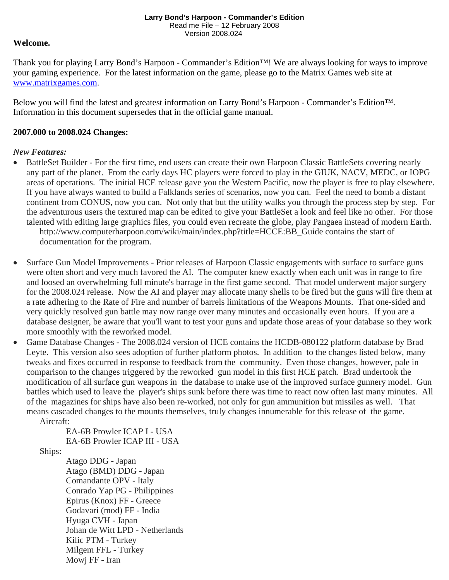# **Welcome.**

Thank you for playing Larry Bond's Harpoon - Commander's Edition™! We are always looking for ways to improve your gaming experience. For the latest information on the game, please go to the Matrix Games web site at www.matrixgames.com.

Below you will find the latest and greatest information on Larry Bond's Harpoon - Commander's Edition™. Information in this document supersedes that in the official game manual.

# **2007.000 to 2008.024 Changes:**

## *New Features:*

- BattleSet Builder For the first time, end users can create their own Harpoon Classic BattleSets covering nearly any part of the planet. From the early days HC players were forced to play in the GIUK, NACV, MEDC, or IOPG areas of operations. The initial HCE release gave you the Western Pacific, now the player is free to play elsewhere. If you have always wanted to build a Falklands series of scenarios, now you can. Feel the need to bomb a distant continent from CONUS, now you can. Not only that but the utility walks you through the process step by step. For the adventurous users the textured map can be edited to give your BattleSet a look and feel like no other. For those talented with editing large graphics files, you could even recreate the globe, play Pangaea instead of modern Earth. http://www.computerharpoon.com/wiki/main/index.php?title=HCCE:BB\_Guide contains the start of documentation for the program.
- Surface Gun Model Improvements Prior releases of Harpoon Classic engagements with surface to surface guns were often short and very much favored the AI. The computer knew exactly when each unit was in range to fire and loosed an overwhelming full minute's barrage in the first game second. That model underwent major surgery for the 2008.024 release. Now the AI and player may allocate many shells to be fired but the guns will fire them at a rate adhering to the Rate of Fire and number of barrels limitations of the Weapons Mounts. That one-sided and very quickly resolved gun battle may now range over many minutes and occasionally even hours. If you are a database designer, be aware that you'll want to test your guns and update those areas of your database so they work more smoothly with the reworked model.
- Game Database Changes The 2008.024 version of HCE contains the HCDB-080122 platform database by Brad Leyte. This version also sees adoption of further platform photos. In addition to the changes listed below, many tweaks and fixes occurred in response to feedback from the community. Even those changes, however, pale in comparison to the changes triggered by the reworked gun model in this first HCE patch. Brad undertook the modification of all surface gun weapons in the database to make use of the improved surface gunnery model. Gun battles which used to leave the player's ships sunk before there was time to react now often last many minutes. All of the magazines for ships have also been re-worked, not only for gun ammunition but missiles as well. That means cascaded changes to the mounts themselves, truly changes innumerable for this release of the game. Aircraft:

EA-6B Prowler ICAP I - USA EA-6B Prowler ICAP III - USA

Ships:

Atago DDG - Japan Atago (BMD) DDG - Japan Comandante OPV - Italy Conrado Yap PG - Philippines Epirus (Knox) FF - Greece Godavari (mod) FF - India Hyuga CVH - Japan Johan de Witt LPD - Netherlands Kilic PTM - Turkey Milgem FFL - Turkey Mowj FF - Iran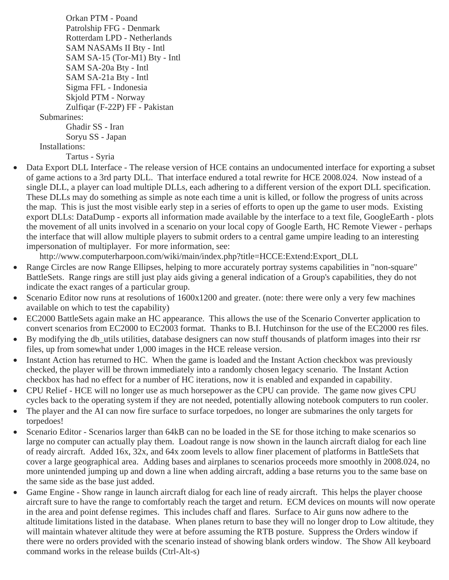Orkan PTM - Poand Patrolship FFG - Denmark Rotterdam LPD - Netherlands SAM NASAMs II Bty - Intl SAM SA-15 (Tor-M1) Bty - Intl SAM SA-20a Bty - Intl SAM SA-21a Bty - Intl Sigma FFL - Indonesia Skjold PTM - Norway Zulfiqar (F-22P) FF - Pakistan Submarines: Ghadir SS - Iran Soryu SS - Japan Installations:

Tartus - Syria

• Data Export DLL Interface - The release version of HCE contains an undocumented interface for exporting a subset of game actions to a 3rd party DLL. That interface endured a total rewrite for HCE 2008.024. Now instead of a single DLL, a player can load multiple DLLs, each adhering to a different version of the export DLL specification. These DLLs may do something as simple as note each time a unit is killed, or follow the progress of units across the map. This is just the most visible early step in a series of efforts to open up the game to user mods. Existing export DLLs: DataDump - exports all information made available by the interface to a text file, GoogleEarth - plots the movement of all units involved in a scenario on your local copy of Google Earth, HC Remote Viewer - perhaps the interface that will allow multiple players to submit orders to a central game umpire leading to an interesting impersonation of multiplayer. For more information, see:

http://www.computerharpoon.com/wiki/main/index.php?title=HCCE:Extend:Export\_DLL

- Range Circles are now Range Ellipses, helping to more accurately portray systems capabilities in "non-square" BattleSets. Range rings are still just play aids giving a general indication of a Group's capabilities, they do not indicate the exact ranges of a particular group.
- Scenario Editor now runs at resolutions of  $1600x1200$  and greater. (note: there were only a very few machines available on which to test the capability)
- EC2000 BattleSets again make an HC appearance. This allows the use of the Scenario Converter application to convert scenarios from EC2000 to EC2003 format. Thanks to B.I. Hutchinson for the use of the EC2000 res files.
- By modifying the db\_utils utilities, database designers can now stuff thousands of platform images into their rsr files, up from somewhat under 1,000 images in the HCE release version.
- Instant Action has returned to HC. When the game is loaded and the Instant Action checkbox was previously checked, the player will be thrown immediately into a randomly chosen legacy scenario. The Instant Action checkbox has had no effect for a number of HC iterations, now it is enabled and expanded in capability.
- CPU Relief HCE will no longer use as much horsepower as the CPU can provide. The game now gives CPU cycles back to the operating system if they are not needed, potentially allowing notebook computers to run cooler.
- The player and the AI can now fire surface to surface torpedoes, no longer are submarines the only targets for torpedoes!
- Scenario Editor Scenarios larger than 64kB can no be loaded in the SE for those itching to make scenarios so large no computer can actually play them. Loadout range is now shown in the launch aircraft dialog for each line of ready aircraft. Added 16x, 32x, and 64x zoom levels to allow finer placement of platforms in BattleSets that cover a large geographical area. Adding bases and airplanes to scenarios proceeds more smoothly in 2008.024, no more unintended jumping up and down a line when adding aircraft, adding a base returns you to the same base on the same side as the base just added.
- Game Engine Show range in launch aircraft dialog for each line of ready aircraft. This helps the player choose aircraft sure to have the range to comfortably reach the target and return. ECM devices on mounts will now operate in the area and point defense regimes. This includes chaff and flares. Surface to Air guns now adhere to the altitude limitations listed in the database. When planes return to base they will no longer drop to Low altitude, they will maintain whatever altitude they were at before assuming the RTB posture. Suppress the Orders window if there were no orders provided with the scenario instead of showing blank orders window. The Show All keyboard command works in the release builds (Ctrl-Alt-s)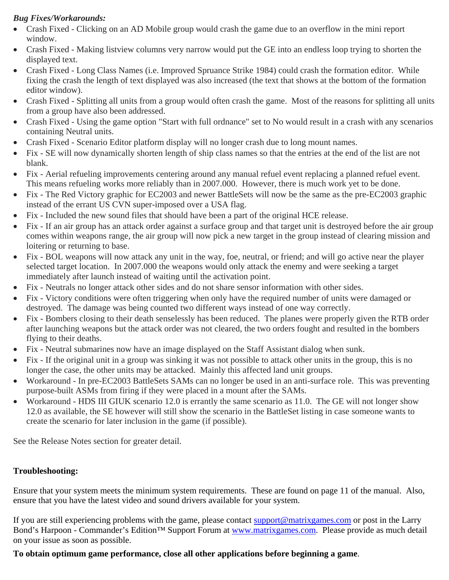# *Bug Fixes/Workarounds:*

- Crash Fixed Clicking on an AD Mobile group would crash the game due to an overflow in the mini report window.
- Crash Fixed Making listview columns very narrow would put the GE into an endless loop trying to shorten the displayed text.
- Crash Fixed Long Class Names (i.e. Improved Spruance Strike 1984) could crash the formation editor. While fixing the crash the length of text displayed was also increased (the text that shows at the bottom of the formation editor window).
- Crash Fixed Splitting all units from a group would often crash the game. Most of the reasons for splitting all units from a group have also been addressed.
- Crash Fixed Using the game option "Start with full ordnance" set to No would result in a crash with any scenarios containing Neutral units.
- Crash Fixed Scenario Editor platform display will no longer crash due to long mount names.
- Fix SE will now dynamically shorten length of ship class names so that the entries at the end of the list are not blank.
- Fix Aerial refueling improvements centering around any manual refuel event replacing a planned refuel event. This means refueling works more reliably than in 2007.000. However, there is much work yet to be done.
- Fix The Red Victory graphic for EC2003 and newer BattleSets will now be the same as the pre-EC2003 graphic instead of the errant US CVN super-imposed over a USA flag.
- Fix Included the new sound files that should have been a part of the original HCE release.
- Fix If an air group has an attack order against a surface group and that target unit is destroyed before the air group comes within weapons range, the air group will now pick a new target in the group instead of clearing mission and loitering or returning to base.
- Fix BOL weapons will now attack any unit in the way, foe, neutral, or friend; and will go active near the player selected target location. In 2007.000 the weapons would only attack the enemy and were seeking a target immediately after launch instead of waiting until the activation point.
- Fix Neutrals no longer attack other sides and do not share sensor information with other sides.
- Fix Victory conditions were often triggering when only have the required number of units were damaged or destroyed. The damage was being counted two different ways instead of one way correctly.
- Fix Bombers closing to their death senselessly has been reduced. The planes were properly given the RTB order after launching weapons but the attack order was not cleared, the two orders fought and resulted in the bombers flying to their deaths.
- Fix Neutral submarines now have an image displayed on the Staff Assistant dialog when sunk.
- Fix If the original unit in a group was sinking it was not possible to attack other units in the group, this is no longer the case, the other units may be attacked. Mainly this affected land unit groups.
- Workaround In pre-EC2003 BattleSets SAMs can no longer be used in an anti-surface role. This was preventing purpose-built ASMs from firing if they were placed in a mount after the SAMs.
- Workaround HDS III GIUK scenario 12.0 is errantly the same scenario as 11.0. The GE will not longer show 12.0 as available, the SE however will still show the scenario in the BattleSet listing in case someone wants to create the scenario for later inclusion in the game (if possible).

See the Release Notes section for greater detail.

# **Troubleshooting:**

Ensure that your system meets the minimum system requirements. These are found on page 11 of the manual. Also, ensure that you have the latest video and sound drivers available for your system.

If you are still experiencing problems with the game, please contact support@matrixgames.com or post in the Larry Bond's Harpoon - Commander's Edition™ Support Forum at www.matrixgames.com. Please provide as much detail on your issue as soon as possible.

# **To obtain optimum game performance, close all other applications before beginning a game**.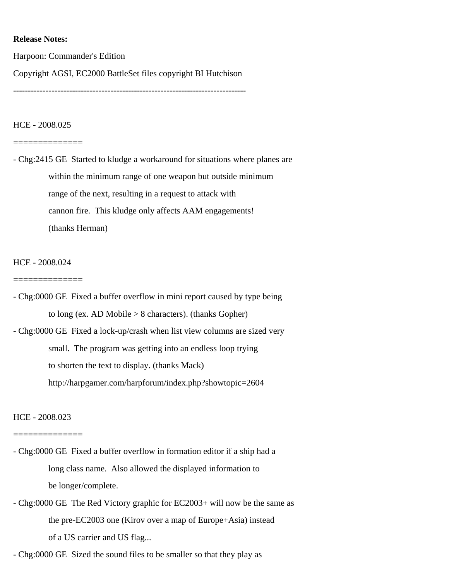### **Release Notes:**

Harpoon: Commander's Edition

Copyright AGSI, EC2000 BattleSet files copyright BI Hutchison

-------------------------------------------------------------------------------

### HCE - 2008.025

#### ==============

- Chg:2415 GE Started to kludge a workaround for situations where planes are within the minimum range of one weapon but outside minimum range of the next, resulting in a request to attack with cannon fire. This kludge only affects AAM engagements! (thanks Herman)

### HCE - 2008.024

#### ==============

- Chg:0000 GE Fixed a buffer overflow in mini report caused by type being to long (ex. AD Mobile > 8 characters). (thanks Gopher) - Chg:0000 GE Fixed a lock-up/crash when list view columns are sized very small. The program was getting into an endless loop trying to shorten the text to display. (thanks Mack)

http://harpgamer.com/harpforum/index.php?showtopic=2604

### HCE - 2008.023

#### ==============

- Chg:0000 GE Fixed a buffer overflow in formation editor if a ship had a long class name. Also allowed the displayed information to be longer/complete.
- Chg:0000 GE The Red Victory graphic for EC2003+ will now be the same as the pre-EC2003 one (Kirov over a map of Europe+Asia) instead of a US carrier and US flag...

- Chg:0000 GE Sized the sound files to be smaller so that they play as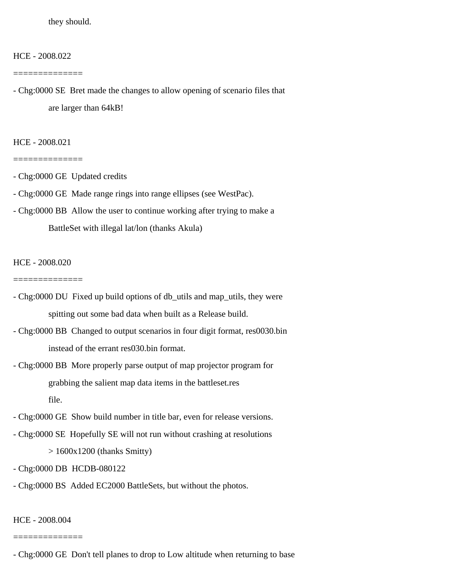they should.

HCE - 2008.022

==============

- Chg:0000 SE Bret made the changes to allow opening of scenario files that are larger than 64kB!

HCE - 2008.021

==============

- Chg:0000 GE Updated credits
- Chg:0000 GE Made range rings into range ellipses (see WestPac).
- Chg:0000 BB Allow the user to continue working after trying to make a BattleSet with illegal lat/lon (thanks Akula)

HCE - 2008.020

==============

- Chg:0000 DU Fixed up build options of db\_utils and map\_utils, they were spitting out some bad data when built as a Release build.
- Chg:0000 BB Changed to output scenarios in four digit format, res0030.bin instead of the errant res030.bin format.
- Chg:0000 BB More properly parse output of map projector program for grabbing the salient map data items in the battleset.res file.
- Chg:0000 GE Show build number in title bar, even for release versions.
- Chg:0000 SE Hopefully SE will not run without crashing at resolutions > 1600x1200 (thanks Smitty)
- Chg:0000 DB HCDB-080122
- Chg:0000 BS Added EC2000 BattleSets, but without the photos.

HCE - 2008.004

<sup>-</sup> Chg:0000 GE Don't tell planes to drop to Low altitude when returning to base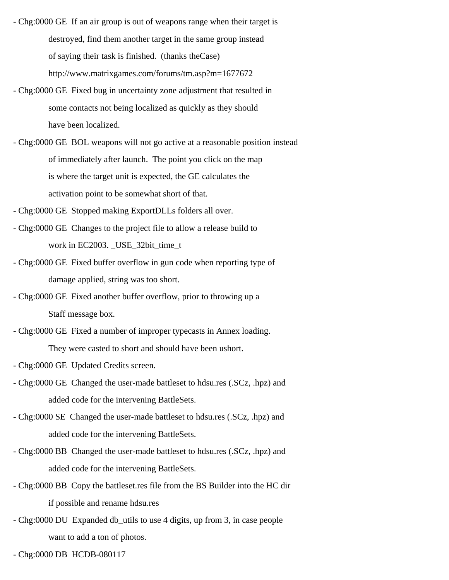- Chg:0000 GE If an air group is out of weapons range when their target is destroyed, find them another target in the same group instead of saying their task is finished. (thanks theCase) http://www.matrixgames.com/forums/tm.asp?m=1677672
- Chg:0000 GE Fixed bug in uncertainty zone adjustment that resulted in some contacts not being localized as quickly as they should have been localized.
- Chg:0000 GE BOL weapons will not go active at a reasonable position instead of immediately after launch. The point you click on the map is where the target unit is expected, the GE calculates the activation point to be somewhat short of that.
- Chg:0000 GE Stopped making ExportDLLs folders all over.
- Chg:0000 GE Changes to the project file to allow a release build to work in EC2003. \_USE\_32bit\_time\_t
- Chg:0000 GE Fixed buffer overflow in gun code when reporting type of damage applied, string was too short.
- Chg:0000 GE Fixed another buffer overflow, prior to throwing up a Staff message box.
- Chg:0000 GE Fixed a number of improper typecasts in Annex loading. They were casted to short and should have been ushort.
- Chg:0000 GE Updated Credits screen.
- Chg:0000 GE Changed the user-made battleset to hdsu.res (.SCz, .hpz) and added code for the intervening BattleSets.
- Chg:0000 SE Changed the user-made battleset to hdsu.res (.SCz, .hpz) and added code for the intervening BattleSets.
- Chg:0000 BB Changed the user-made battleset to hdsu.res (.SCz, .hpz) and added code for the intervening BattleSets.
- Chg:0000 BB Copy the battleset.res file from the BS Builder into the HC dir if possible and rename hdsu.res
- Chg:0000 DU Expanded db\_utils to use 4 digits, up from 3, in case people want to add a ton of photos.
- Chg:0000 DB HCDB-080117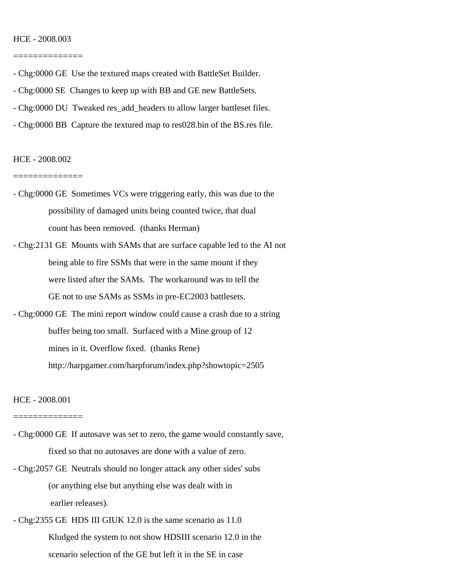#### HCE - 2008.003

==============

- Chg:0000 GE Use the textured maps created with BattleSet Builder.
- Chg:0000 SE Changes to keep up with BB and GE new BattleSets.
- Chg:0000 DU Tweaked res\_add\_headers to allow larger battleset files.
- Chg:0000 BB Capture the textured map to res028.bin of the BS.res file.

#### HCE - 2008.002

==============

- Chg:0000 GE Sometimes VCs were triggering early, this was due to the possibility of damaged units being counted twice, that dual count has been removed. (thanks Herman)
- Chg:2131 GE Mounts with SAMs that are surface capable led to the AI not being able to fire SSMs that were in the same mount if they were listed after the SAMs. The workaround was to tell the GE not to use SAMs as SSMs in pre-EC2003 battlesets.
- Chg:0000 GE The mini report window could cause a crash due to a string buffer being too small. Surfaced with a Mine group of 12 mines in it. Overflow fixed. (thanks Rene) http://harpgamer.com/harpforum/index.php?showtopic=2505

HCE - 2008.001

- Chg:0000 GE If autosave was set to zero, the game would constantly save, fixed so that no autosaves are done with a value of zero.
- Chg:2057 GE Neutrals should no longer attack any other sides' subs (or anything else but anything else was dealt with in earlier releases).
- Chg:2355 GE HDS III GIUK 12.0 is the same scenario as 11.0 Kludged the system to not show HDSIII scenario 12.0 in the scenario selection of the GE but left it in the SE in case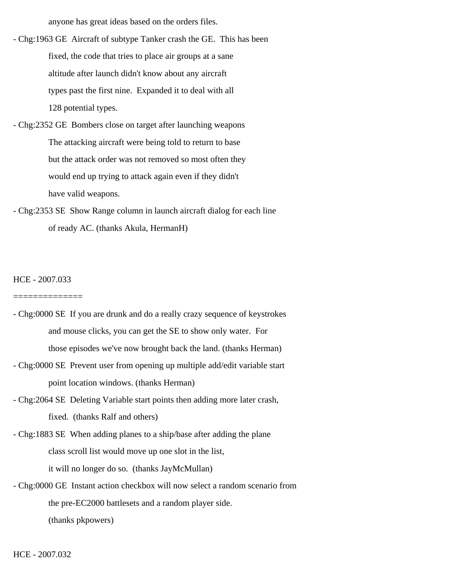anyone has great ideas based on the orders files.

- Chg:1963 GE Aircraft of subtype Tanker crash the GE. This has been fixed, the code that tries to place air groups at a sane altitude after launch didn't know about any aircraft types past the first nine. Expanded it to deal with all 128 potential types.
- Chg:2352 GE Bombers close on target after launching weapons The attacking aircraft were being told to return to base but the attack order was not removed so most often they would end up trying to attack again even if they didn't have valid weapons.
- Chg:2353 SE Show Range column in launch aircraft dialog for each line of ready AC. (thanks Akula, HermanH)

### HCE - 2007.033

- Chg:0000 SE If you are drunk and do a really crazy sequence of keystrokes and mouse clicks, you can get the SE to show only water. For those episodes we've now brought back the land. (thanks Herman)
- Chg:0000 SE Prevent user from opening up multiple add/edit variable start point location windows. (thanks Herman)
- Chg:2064 SE Deleting Variable start points then adding more later crash, fixed. (thanks Ralf and others)
- Chg:1883 SE When adding planes to a ship/base after adding the plane class scroll list would move up one slot in the list, it will no longer do so. (thanks JayMcMullan)
- Chg:0000 GE Instant action checkbox will now select a random scenario from the pre-EC2000 battlesets and a random player side. (thanks pkpowers)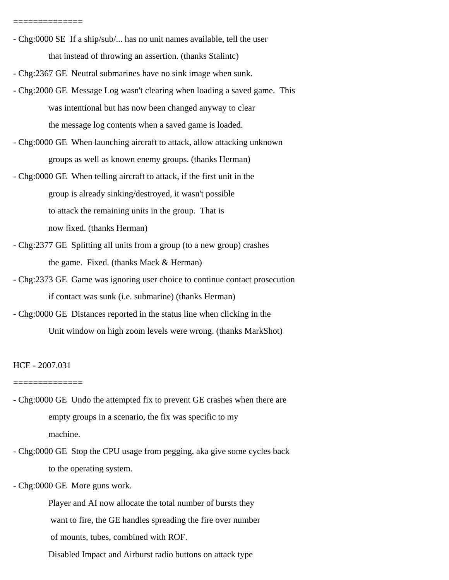- Chg:0000 SE If a ship/sub/... has no unit names available, tell the user that instead of throwing an assertion. (thanks Stalintc)
- Chg:2367 GE Neutral submarines have no sink image when sunk.
- Chg:2000 GE Message Log wasn't clearing when loading a saved game. This was intentional but has now been changed anyway to clear the message log contents when a saved game is loaded.
- Chg:0000 GE When launching aircraft to attack, allow attacking unknown groups as well as known enemy groups. (thanks Herman)
- Chg:0000 GE When telling aircraft to attack, if the first unit in the group is already sinking/destroyed, it wasn't possible to attack the remaining units in the group. That is now fixed. (thanks Herman)
- Chg:2377 GE Splitting all units from a group (to a new group) crashes the game. Fixed. (thanks Mack & Herman)
- Chg:2373 GE Game was ignoring user choice to continue contact prosecution if contact was sunk (i.e. submarine) (thanks Herman)
- Chg:0000 GE Distances reported in the status line when clicking in the Unit window on high zoom levels were wrong. (thanks MarkShot)

#### HCE - 2007.031

#### ==============

==============

- Chg:0000 GE Undo the attempted fix to prevent GE crashes when there are empty groups in a scenario, the fix was specific to my machine.
- Chg:0000 GE Stop the CPU usage from pegging, aka give some cycles back to the operating system.
- Chg:0000 GE More guns work.

 Player and AI now allocate the total number of bursts they want to fire, the GE handles spreading the fire over number of mounts, tubes, combined with ROF.

Disabled Impact and Airburst radio buttons on attack type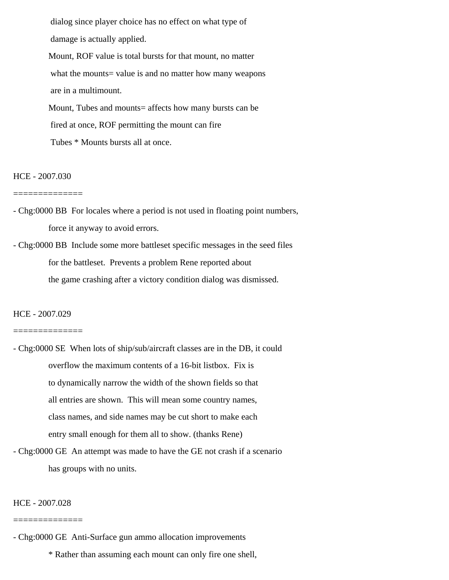dialog since player choice has no effect on what type of damage is actually applied.

 Mount, ROF value is total bursts for that mount, no matter what the mounts= value is and no matter how many weapons are in a multimount. Mount, Tubes and mounts= affects how many bursts can be

fired at once, ROF permitting the mount can fire

Tubes \* Mounts bursts all at once.

### HCE - 2007.030

- ==============
- Chg:0000 BB For locales where a period is not used in floating point numbers, force it anyway to avoid errors.

- Chg:0000 BB Include some more battleset specific messages in the seed files for the battleset. Prevents a problem Rene reported about the game crashing after a victory condition dialog was dismissed.

## HCE - 2007.029

#### ==============

- Chg:0000 SE When lots of ship/sub/aircraft classes are in the DB, it could overflow the maximum contents of a 16-bit listbox. Fix is to dynamically narrow the width of the shown fields so that all entries are shown. This will mean some country names, class names, and side names may be cut short to make each entry small enough for them all to show. (thanks Rene)
- Chg:0000 GE An attempt was made to have the GE not crash if a scenario has groups with no units.

### HCE - 2007.028

#### ==============

- Chg:0000 GE Anti-Surface gun ammo allocation improvements

\* Rather than assuming each mount can only fire one shell,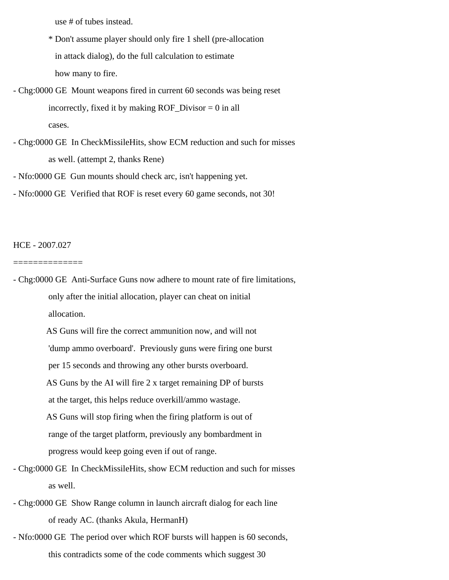use # of tubes instead.

 \* Don't assume player should only fire 1 shell (pre-allocation in attack dialog), do the full calculation to estimate how many to fire.

- Chg:0000 GE Mount weapons fired in current 60 seconds was being reset incorrectly, fixed it by making  $ROF_Divisor = 0$  in all cases.

- Chg:0000 GE In CheckMissileHits, show ECM reduction and such for misses as well. (attempt 2, thanks Rene)

- Nfo:0000 GE Gun mounts should check arc, isn't happening yet.

- Nfo:0000 GE Verified that ROF is reset every 60 game seconds, not 30!

HCE - 2007.027

==============

- Chg:0000 GE Anti-Surface Guns now adhere to mount rate of fire limitations, only after the initial allocation, player can cheat on initial allocation.

> AS Guns will fire the correct ammunition now, and will not 'dump ammo overboard'. Previously guns were firing one burst per 15 seconds and throwing any other bursts overboard. AS Guns by the AI will fire 2 x target remaining DP of bursts at the target, this helps reduce overkill/ammo wastage. AS Guns will stop firing when the firing platform is out of range of the target platform, previously any bombardment in

progress would keep going even if out of range.

- Chg:0000 GE In CheckMissileHits, show ECM reduction and such for misses as well.

- Chg:0000 GE Show Range column in launch aircraft dialog for each line of ready AC. (thanks Akula, HermanH)

- Nfo:0000 GE The period over which ROF bursts will happen is 60 seconds, this contradicts some of the code comments which suggest 30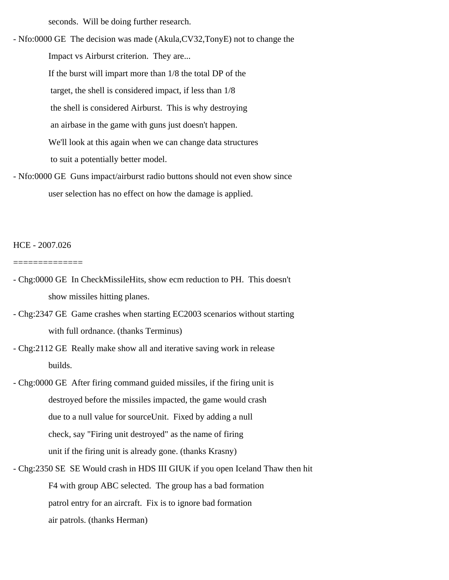seconds. Will be doing further research.

- Nfo:0000 GE The decision was made (Akula,CV32,TonyE) not to change the Impact vs Airburst criterion. They are... If the burst will impart more than 1/8 the total DP of the target, the shell is considered impact, if less than 1/8 the shell is considered Airburst. This is why destroying an airbase in the game with guns just doesn't happen. We'll look at this again when we can change data structures to suit a potentially better model.

- Nfo:0000 GE Guns impact/airburst radio buttons should not even show since user selection has no effect on how the damage is applied.

HCE - 2007.026

- Chg:0000 GE In CheckMissileHits, show ecm reduction to PH. This doesn't show missiles hitting planes.
- Chg:2347 GE Game crashes when starting EC2003 scenarios without starting with full ordnance. (thanks Terminus)
- Chg:2112 GE Really make show all and iterative saving work in release builds.
- Chg:0000 GE After firing command guided missiles, if the firing unit is destroyed before the missiles impacted, the game would crash due to a null value for sourceUnit. Fixed by adding a null check, say "Firing unit destroyed" as the name of firing unit if the firing unit is already gone. (thanks Krasny)
- Chg:2350 SE SE Would crash in HDS III GIUK if you open Iceland Thaw then hit F4 with group ABC selected. The group has a bad formation patrol entry for an aircraft. Fix is to ignore bad formation air patrols. (thanks Herman)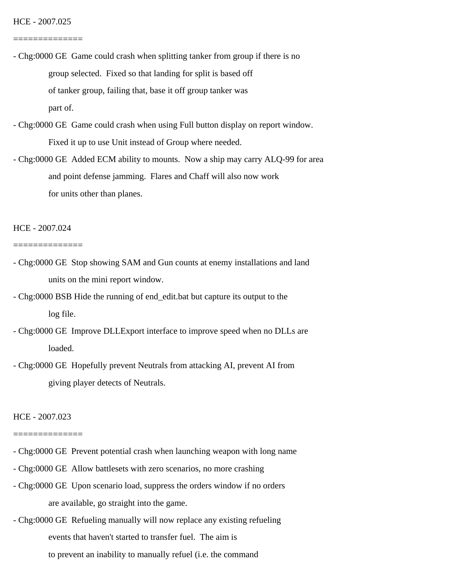==============

- Chg:0000 GE Game could crash when splitting tanker from group if there is no group selected. Fixed so that landing for split is based off of tanker group, failing that, base it off group tanker was part of.
- Chg:0000 GE Game could crash when using Full button display on report window. Fixed it up to use Unit instead of Group where needed.
- Chg:0000 GE Added ECM ability to mounts. Now a ship may carry ALQ-99 for area and point defense jamming. Flares and Chaff will also now work for units other than planes.

HCE - 2007.024

==============

- Chg:0000 GE Stop showing SAM and Gun counts at enemy installations and land units on the mini report window.
- Chg:0000 BSB Hide the running of end\_edit.bat but capture its output to the log file.
- Chg:0000 GE Improve DLLExport interface to improve speed when no DLLs are loaded.
- Chg:0000 GE Hopefully prevent Neutrals from attacking AI, prevent AI from giving player detects of Neutrals.

### HCE - 2007.023

- Chg:0000 GE Prevent potential crash when launching weapon with long name
- Chg:0000 GE Allow battlesets with zero scenarios, no more crashing
- Chg:0000 GE Upon scenario load, suppress the orders window if no orders are available, go straight into the game.
- Chg:0000 GE Refueling manually will now replace any existing refueling events that haven't started to transfer fuel. The aim is to prevent an inability to manually refuel (i.e. the command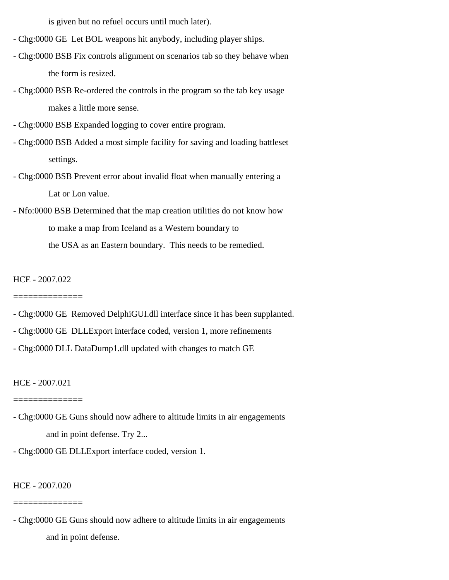is given but no refuel occurs until much later).

- Chg:0000 GE Let BOL weapons hit anybody, including player ships.
- Chg:0000 BSB Fix controls alignment on scenarios tab so they behave when the form is resized.
- Chg:0000 BSB Re-ordered the controls in the program so the tab key usage makes a little more sense.
- Chg:0000 BSB Expanded logging to cover entire program.
- Chg:0000 BSB Added a most simple facility for saving and loading battleset settings.
- Chg:0000 BSB Prevent error about invalid float when manually entering a Lat or Lon value.
- Nfo:0000 BSB Determined that the map creation utilities do not know how to make a map from Iceland as a Western boundary to the USA as an Eastern boundary. This needs to be remedied.

HCE - 2007.022

- ==============
- Chg:0000 GE Removed DelphiGUI.dll interface since it has been supplanted.
- Chg:0000 GE DLLExport interface coded, version 1, more refinements
- Chg:0000 DLL DataDump1.dll updated with changes to match GE

HCE - 2007.021

#### ==============

- Chg:0000 GE Guns should now adhere to altitude limits in air engagements and in point defense. Try 2...
- Chg:0000 GE DLLExport interface coded, version 1.

HCE - 2007.020

#### ==============

- Chg:0000 GE Guns should now adhere to altitude limits in air engagements and in point defense.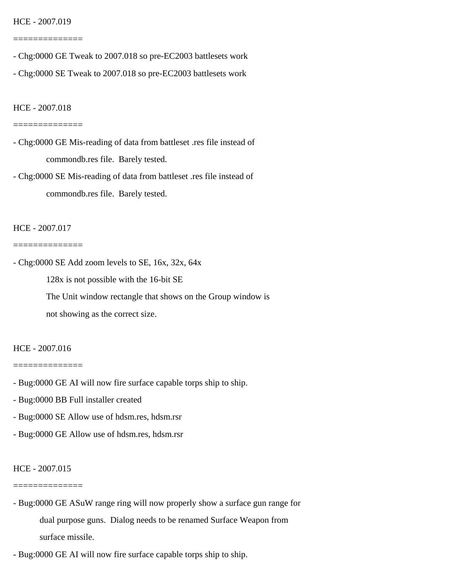#### HCE - 2007.019

==============

- Chg:0000 GE Tweak to 2007.018 so pre-EC2003 battlesets work
- Chg:0000 SE Tweak to 2007.018 so pre-EC2003 battlesets work

HCE - 2007.018

#### ==============

- Chg:0000 GE Mis-reading of data from battleset .res file instead of commondb.res file. Barely tested.
- Chg:0000 SE Mis-reading of data from battleset .res file instead of commondb.res file. Barely tested.

### HCE - 2007.017

==============

- Chg:0000 SE Add zoom levels to SE, 16x, 32x, 64x

128x is not possible with the 16-bit SE

 The Unit window rectangle that shows on the Group window is not showing as the correct size.

### HCE - 2007.016

==============

- Bug:0000 GE AI will now fire surface capable torps ship to ship.
- Bug:0000 BB Full installer created
- Bug:0000 SE Allow use of hdsm.res, hdsm.rsr
- Bug:0000 GE Allow use of hdsm.res, hdsm.rsr

### HCE - 2007.015

- Bug:0000 GE ASuW range ring will now properly show a surface gun range for dual purpose guns. Dialog needs to be renamed Surface Weapon from surface missile.
- Bug:0000 GE AI will now fire surface capable torps ship to ship.